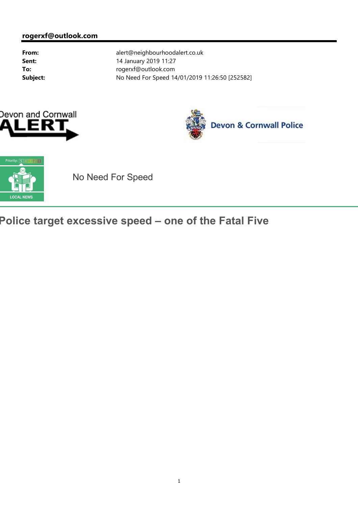



## **Devon & Cornwall Police**



## No Need For Speed

## **Police target excessive speed – one of the Fatal Five**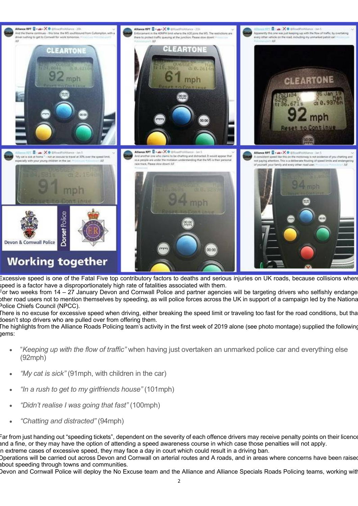

Excessive speed is one of the Fatal Five top contributory factors to deaths and serious injuries on UK roads, because collisions where speed is a factor have a disproportionately high rate of fatalities associated with them.

For two weeks from 14 – 27 January Devon and Cornwall Police and partner agencies will be targeting drivers who selfishly endange other road users not to mention themselves by speeding, as will police forces across the UK in support of a campaign led by the National Police Chiefs Council (NPCC).

There is no excuse for excessive speed when driving, either breaking the speed limit or traveling too fast for the road conditions, but that doesn't stop drivers who are pulled over from offering them.

The highlights from the Alliance Roads Policing team's activity in the first week of 2019 alone (see photo montage) supplied the following gems:

- "*Keeping up with the flow of traffic"* when having just overtaken an unmarked police car and everything else (92mph)
- *"My cat is sick"* (91mph, with children in the car)
- *"In a rush to get to my girlfriends house"* (101mph)
- *"Didn't realise I was going that fast"* (100mph)
- *"Chatting and distracted"* (94mph)

Far from just handing out "speeding tickets", dependent on the severity of each offence drivers may receive penalty points on their licence and a fine, or they may have the option of attending a speed awareness course in which case those penalties will not apply. n extreme cases of excessive speed, they may face a day in court which could result in a driving ban.

Operations will be carried out across Devon and Cornwall on arterial routes and A roads, and in areas where concerns have been raised about speeding through towns and communities.

Devon and Cornwall Police will deploy the No Excuse team and the Alliance and Alliance Specials Roads Policing teams, working with